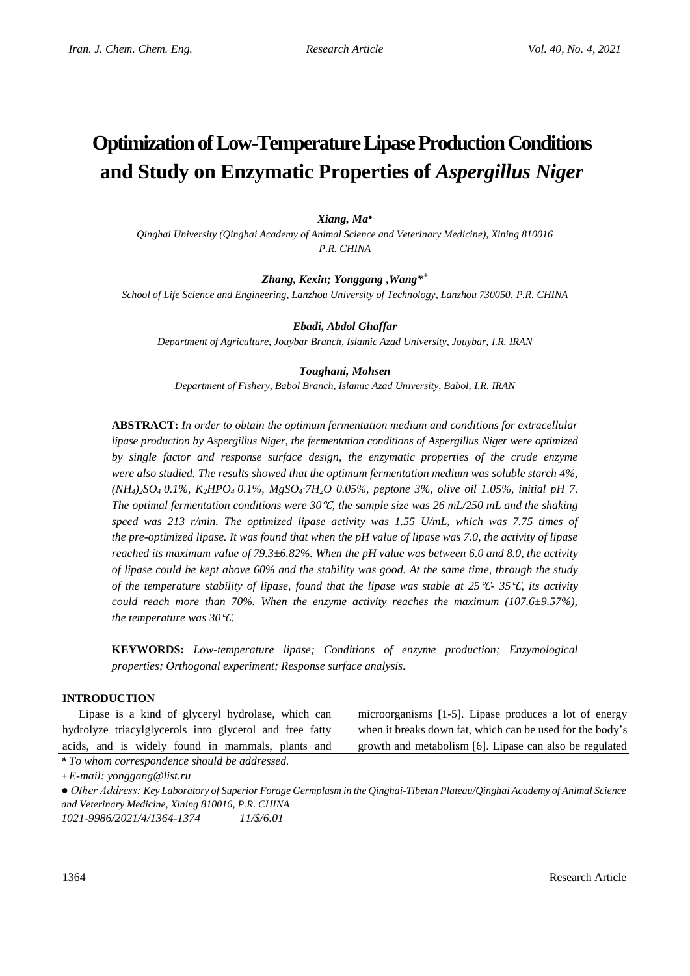# **Optimization of Low-Temperature Lipase Production Conditions and Study on Enzymatic Properties of** *Aspergillus Niger*

### *Xiang, Ma●*

*Qinghai University (Qinghai Academy of Animal Science and Veterinary Medicine), Xining 810016 P.R. CHINA*

*Zhang, Kexin; Yonggang ,Wang\* +*

*School of Life Science and Engineering, Lanzhou University of Technology, Lanzhou 730050, P.R. CHINA*

#### *Ebadi, Abdol Ghaffar*

*Department of Agriculture, Jouybar Branch, Islamic Azad University, Jouybar, I.R. IRAN*

#### *Toughani, Mohsen*

*Department of Fishery, Babol Branch, Islamic Azad University, Babol, I.R. IRAN*

**ABSTRACT:** *In order to obtain the optimum fermentation medium and conditions for extracellular lipase production by Aspergillus Niger, the fermentation conditions of Aspergillus Niger were optimized by single factor and response surface design, the enzymatic properties of the crude enzyme were also studied. The results showed that the optimum fermentation medium was soluble starch 4%, (NH4)2SO4 0.1%, K2HPO4 0.1%, MgSO4·7H2O 0.05%, peptone 3%, olive oil 1.05%, initial pH 7. The optimal fermentation conditions were 30*℃*, the sample size was 26 mL/250 mL and the shaking speed was 213 r/min. The optimized lipase activity was 1.55 U/mL, which was 7.75 times of the pre-optimized lipase. It was found that when the pH value of lipase was 7.0, the activity of lipase reached its maximum value of 79.3±6.82%. When the pH value was between 6.0 and 8.0, the activity of lipase could be kept above 60% and the stability was good. At the same time, through the study of the temperature stability of lipase, found that the lipase was stable at 25*℃*- 35*℃*, its activity could reach more than 70%. When the enzyme activity reaches the maximum (107.6±9.57%), the temperature was 30*℃*.*

**KEYWORDS:** *Low-temperature lipase; Conditions of enzyme production; Enzymological properties; Orthogonal experiment; Response surface analysis.*

#### **INTRODUCTION**

Lipase is a kind of glyceryl hydrolase, which can hydrolyze triacylglycerols into glycerol and free fatty acids, and is widely found in mammals, plants and microorganisms [1-5]. Lipase produces a lot of energy when it breaks down fat, which can be used for the body's growth and metabolism [6]. Lipase can also be regulated

*\* To whom correspondence should be addressed.*

**+** *E-mail: yonggang@list.ru*

*● Other Address: Key Laboratory of Superior Forage Germplasm in the Qinghai-Tibetan Plateau/Qinghai Academy of Animal Science and Veterinary Medicine, Xining 810016, P.R. CHINA 1021-9986/2021/4/1364-1374 11/\$/6.01*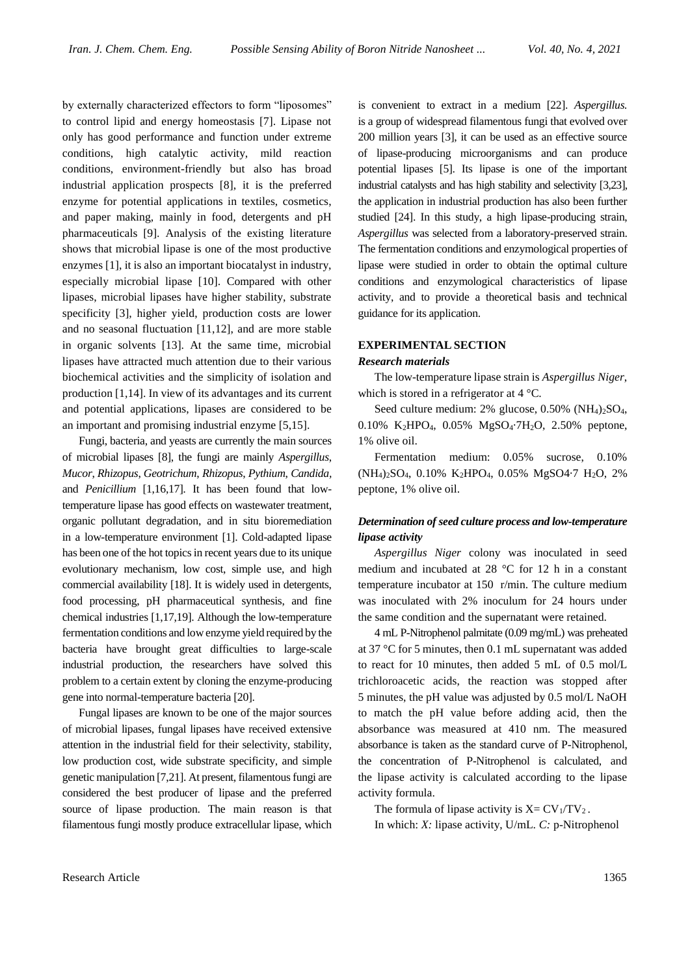by externally characterized effectors to form "liposomes" to control lipid and energy homeostasis [7]. Lipase not only has good performance and function under extreme conditions, high catalytic activity, mild reaction conditions, environment-friendly but also has broad industrial application prospects [8], it is the preferred enzyme for potential applications in textiles, cosmetics, and paper making, mainly in food, detergents and pH pharmaceuticals [9]. Analysis of the existing literature shows that microbial lipase is one of the most productive enzymes [1], it is also an important biocatalyst in industry, especially microbial lipase [10]. Compared with other lipases, microbial lipases have higher stability, substrate specificity [3], higher yield, production costs are lower and no seasonal fluctuation [11,12], and are more stable in organic solvents [13]. At the same time, microbial lipases have attracted much attention due to their various biochemical activities and the simplicity of isolation and production [1,14]. In view of its advantages and its current and potential applications, lipases are considered to be an important and promising industrial enzyme [5,15].

Fungi, bacteria, and yeasts are currently the main sources of microbial lipases [8], the fungi are mainly *Aspergillus*, *Mucor*, *Rhizopus*, *Geotrichum*, *Rhizopus*, *Pythium*, *Candida,* and *Penicillium* [1,16,17]*.* It has been found that lowtemperature lipase has good effects on wastewater treatment, organic pollutant degradation, and in situ bioremediation in a low-temperature environment [1]. Cold-adapted lipase has been one of the hot topics in recent years due to its unique evolutionary mechanism, low cost, simple use, and high commercial availability [18]. It is widely used in detergents, food processing, pH pharmaceutical synthesis, and fine chemical industries [1,17,19]. Although the low-temperature fermentation conditions and low enzyme yield required by the bacteria have brought great difficulties to large-scale industrial production, the researchers have solved this problem to a certain extent by cloning the enzyme-producing gene into normal-temperature bacteria [20].

Fungal lipases are known to be one of the major sources of microbial lipases, fungal lipases have received extensive attention in the industrial field for their selectivity, stability, low production cost, wide substrate specificity, and simple genetic manipulation [7,21]. At present, filamentous fungi are considered the best producer of lipase and the preferred source of lipase production. The main reason is that filamentous fungi mostly produce extracellular lipase, which

is convenient to extract in a medium [22]. *Aspergillus.* is a group of widespread filamentous fungi that evolved over 200 million years [3], it can be used as an effective source of lipase-producing microorganisms and can produce potential lipases [5]. Its lipase is one of the important industrial catalysts and has high stability and selectivity [3,23], the application in industrial production has also been further studied [24]. In this study, a high lipase-producing strain, *Aspergillus* was selected from a laboratory-preserved strain. The fermentation conditions and enzymological properties of lipase were studied in order to obtain the optimal culture conditions and enzymological characteristics of lipase activity, and to provide a theoretical basis and technical guidance for its application.

#### **EXPERIMENTAL SECTION**

#### *Research materials*

The low-temperature lipase strain is *Aspergillus Niger*, which is stored in a refrigerator at 4 °C.

Seed culture medium:  $2\%$  glucose,  $0.50\%$  (NH<sub>4</sub>)<sub>2</sub>SO<sub>4</sub>, 0.10% K<sub>2</sub>HPO<sub>4</sub>, 0.05% MgSO<sub>4</sub>·7H<sub>2</sub>O, 2.50% peptone, 1% olive oil.

Fermentation medium: 0.05% sucrose, 0.10% (NH4)2SO4, 0.10% K2HPO4, 0.05% MgSO4·7 H2O, 2% peptone, 1% olive oil.

## *Determination of seed culture process and low-temperature lipase activity*

*Aspergillus Niger* colony was inoculated in seed medium and incubated at 28 °C for 12 h in a constant temperature incubator at 150 r/min. The culture medium was inoculated with 2% inoculum for 24 hours under the same condition and the supernatant were retained.

4 mL P-Nitrophenol palmitate (0.09 mg/mL) was preheated at 37 °C for 5 minutes, then 0.1 mL supernatant was added to react for 10 minutes, then added 5 mL of 0.5 mol/L trichloroacetic acids, the reaction was stopped after 5 minutes, the pH value was adjusted by 0.5 mol/L NaOH to match the pH value before adding acid, then the absorbance was measured at 410 nm. The measured absorbance is taken as the standard curve of P-Nitrophenol, the concentration of P-Nitrophenol is calculated, and the lipase activity is calculated according to the lipase activity formula.

The formula of lipase activity is  $X = CV_1/TV_2$ .

In which: *X:* lipase activity, U/mL. *C:* p-Nitrophenol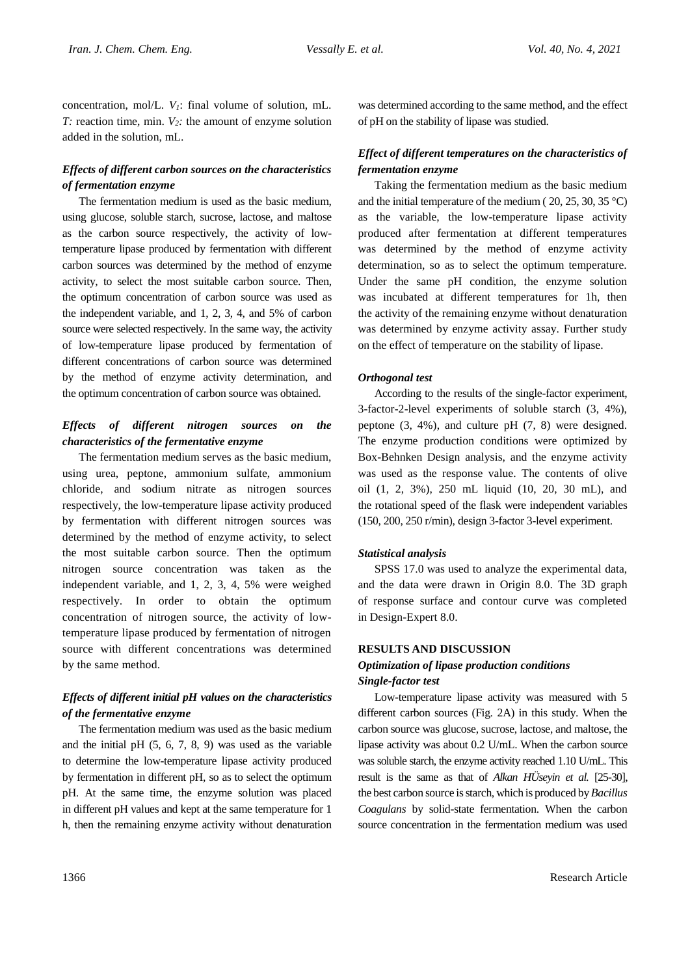concentration, mol/L. *V1*: final volume of solution, mL. *T:* reaction time, min. *V2:* the amount of enzyme solution added in the solution, mL.

# *Effects of different carbon sources on the characteristics of fermentation enzyme*

The fermentation medium is used as the basic medium, using glucose, soluble starch, sucrose, lactose, and maltose as the carbon source respectively, the activity of lowtemperature lipase produced by fermentation with different carbon sources was determined by the method of enzyme activity, to select the most suitable carbon source. Then, the optimum concentration of carbon source was used as the independent variable, and 1, 2, 3, 4, and 5% of carbon source were selected respectively. In the same way, the activity of low-temperature lipase produced by fermentation of different concentrations of carbon source was determined by the method of enzyme activity determination, and the optimum concentration of carbon source was obtained.

# *Effects of different nitrogen sources on the characteristics of the fermentative enzyme*

The fermentation medium serves as the basic medium, using urea, peptone, ammonium sulfate, ammonium chloride, and sodium nitrate as nitrogen sources respectively, the low-temperature lipase activity produced by fermentation with different nitrogen sources was determined by the method of enzyme activity, to select the most suitable carbon source. Then the optimum nitrogen source concentration was taken as the independent variable, and 1, 2, 3, 4, 5% were weighed respectively. In order to obtain the optimum concentration of nitrogen source, the activity of lowtemperature lipase produced by fermentation of nitrogen source with different concentrations was determined by the same method.

# *Effects of different initial pH values on the characteristics of the fermentative enzyme*

The fermentation medium was used as the basic medium and the initial pH (5, 6, 7, 8, 9) was used as the variable to determine the low-temperature lipase activity produced by fermentation in different pH, so as to select the optimum pH. At the same time, the enzyme solution was placed in different pH values and kept at the same temperature for 1 h, then the remaining enzyme activity without denaturation was determined according to the same method, and the effect of pH on the stability of lipase was studied.

# *Effect of different temperatures on the characteristics of fermentation enzyme*

Taking the fermentation medium as the basic medium and the initial temperature of the medium ( $20, 25, 30, 35$  °C) as the variable, the low-temperature lipase activity produced after fermentation at different temperatures was determined by the method of enzyme activity determination, so as to select the optimum temperature. Under the same pH condition, the enzyme solution was incubated at different temperatures for 1h, then the activity of the remaining enzyme without denaturation was determined by enzyme activity assay. Further study on the effect of temperature on the stability of lipase.

### *Orthogonal test*

According to the results of the single-factor experiment, 3-factor-2-level experiments of soluble starch (3, 4%), peptone (3, 4%), and culture pH (7, 8) were designed. The enzyme production conditions were optimized by Box-Behnken Design analysis, and the enzyme activity was used as the response value. The contents of olive oil (1, 2, 3%), 250 mL liquid (10, 20, 30 mL), and the rotational speed of the flask were independent variables (150, 200, 250 r/min), design 3-factor 3-level experiment.

#### *Statistical analysis*

SPSS 17.0 was used to analyze the experimental data, and the data were drawn in Origin 8.0. The 3D graph of response surface and contour curve was completed in Design-Expert 8.0.

### **RESULTS AND DISCUSSION**

# *Optimization of lipase production conditions Single-factor test*

Low-temperature lipase activity was measured with 5 different carbon sources (Fig. 2A) in this study. When the carbon source was glucose, sucrose, lactose, and maltose, the lipase activity was about 0.2 U/mL. When the carbon source was soluble starch, the enzyme activity reached 1.10 U/mL. This result is the same as that of *Alkan HÜseyin et al.* [25-30], the best carbon source is starch, which is produced by*Bacillus Coagulans* by solid-state fermentation. When the carbon source concentration in the fermentation medium was used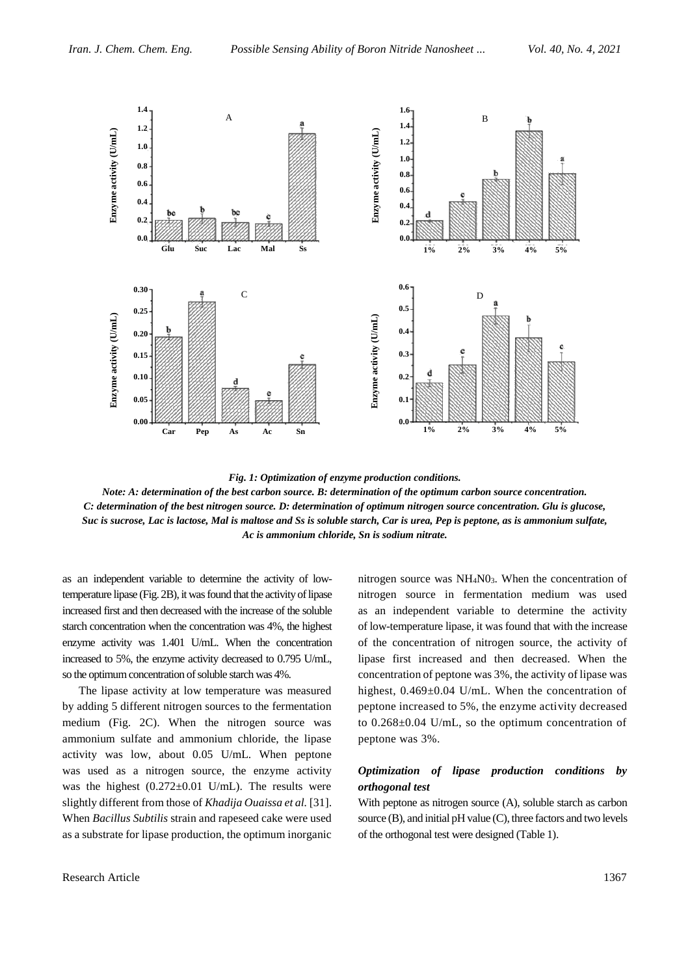

*Fig. 1: Optimization of enzyme production conditions.*

*Note: A: determination of the best carbon source. B: determination of the optimum carbon source concentration. C: determination of the best nitrogen source. D: determination of optimum nitrogen source concentration. Glu is glucose, Suc is sucrose, Lac is lactose, Mal is maltose and Ss is soluble starch, Car is urea, Pep is peptone, as is ammonium sulfate, Ac is ammonium chloride, Sn is sodium nitrate.*

as an independent variable to determine the activity of lowtemperature lipase (Fig. 2B), it was found that the activity of lipase increased first and then decreased with the increase of the soluble starch concentration when the concentration was 4%, the highest enzyme activity was 1.401 U/mL. When the concentration increased to 5%, the enzyme activity decreased to 0.795 U/mL, so the optimum concentration of soluble starch was 4%.

The lipase activity at low temperature was measured by adding 5 different nitrogen sources to the fermentation medium (Fig. 2C). When the nitrogen source was ammonium sulfate and ammonium chloride, the lipase activity was low, about 0.05 U/mL. When peptone was used as a nitrogen source, the enzyme activity was the highest  $(0.272 \pm 0.01 \text{ U/mL})$ . The results were slightly different from those of *Khadija Ouaissa et al.* [31]. When *Bacillus Subtilis* strain and rapeseed cake were used as a substrate for lipase production, the optimum inorganic

Research Article 1367

nitrogen source was  $NH<sub>4</sub>N<sub>03</sub>$ . When the concentration of nitrogen source in fermentation medium was used as an independent variable to determine the activity of low-temperature lipase, it was found that with the increase of the concentration of nitrogen source, the activity of lipase first increased and then decreased. When the concentration of peptone was 3%, the activity of lipase was highest, 0.469±0.04 U/mL. When the concentration of peptone increased to 5%, the enzyme activity decreased to 0.268±0.04 U/mL, so the optimum concentration of peptone was 3%.

# *Optimization of lipase production conditions by orthogonal test*

With peptone as nitrogen source (A), soluble starch as carbon source (B), and initial pH value (C), three factors and two levels of the orthogonal test were designed (Table 1).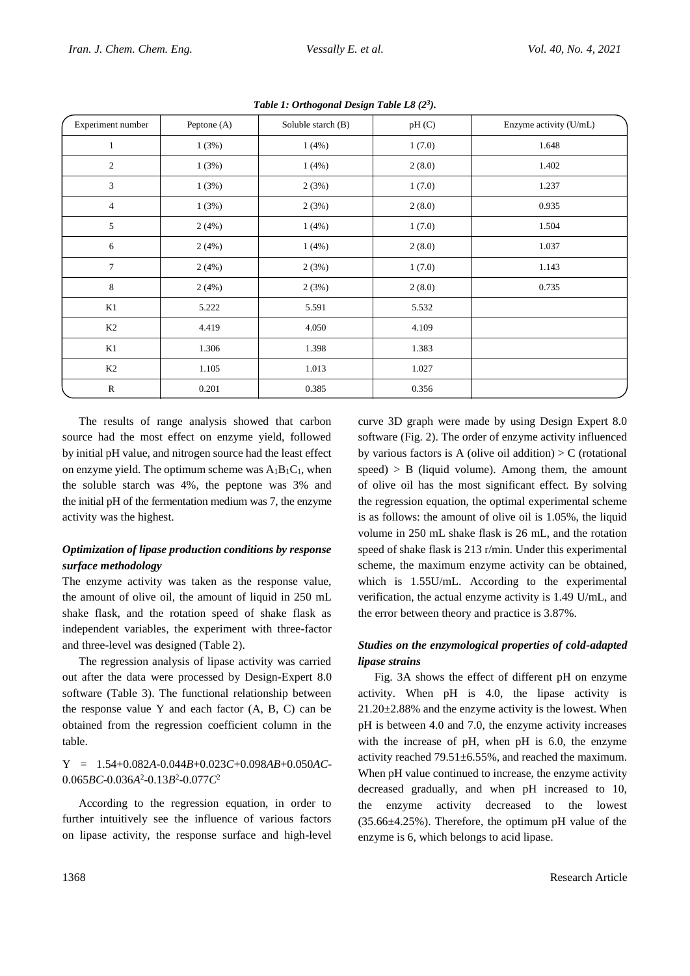| Experiment number | Peptone (A) | Soluble starch (B) | pH(C)  | Enzyme activity (U/mL) |
|-------------------|-------------|--------------------|--------|------------------------|
| $\mathbf{1}$      | 1(3%)       | 1(4%)              | 1(7.0) | 1.648                  |
| $\sqrt{2}$        | 1(3%)       | 1(4%)              | 2(8.0) | 1.402                  |
| 3                 | 1(3%)       | 2(3%)              | 1(7.0) | 1.237                  |
| $\overline{4}$    | 1(3%)       | 2(3%)              | 2(8.0) | 0.935                  |
| 5                 | 2(4%)       | 1(4%)              | 1(7.0) | 1.504                  |
| 6                 | 2(4%)       | 1(4%)              | 2(8.0) | 1.037                  |
| $\overline{7}$    | 2(4%)       | 2(3%)              | 1(7.0) | 1.143                  |
| 8                 | 2(4%)       | 2(3%)              | 2(8.0) | 0.735                  |
| K1                | 5.222       | 5.591              | 5.532  |                        |
| K2                | 4.419       | 4.050              | 4.109  |                        |
| K1                | 1.306       | 1.398              | 1.383  |                        |
| K2                | 1.105       | 1.013              | 1.027  |                        |
| $\mathbb{R}$      | 0.201       | 0.385              | 0.356  |                        |

*Table 1: Orthogonal Design Table L8 (2<sup>3</sup> ).*

The results of range analysis showed that carbon source had the most effect on enzyme yield, followed by initial pH value, and nitrogen source had the least effect on enzyme yield. The optimum scheme was  $A_1B_1C_1$ , when the soluble starch was 4%, the peptone was 3% and the initial pH of the fermentation medium was 7, the enzyme activity was the highest.

### *Optimization of lipase production conditions by response surface methodology*

The enzyme activity was taken as the response value, the amount of olive oil, the amount of liquid in 250 mL shake flask, and the rotation speed of shake flask as independent variables, the experiment with three-factor and three-level was designed (Table 2).

The regression analysis of lipase activity was carried out after the data were processed by Design-Expert 8.0 software (Table 3). The functional relationship between the response value Y and each factor (A, B, C) can be obtained from the regression coefficient column in the table.

#### Y = 1.54+0.082*A*-0.044*B*+0.023*C*+0.098*AB*+0.050*AC*-0.065*BC*-0.036*A* 2 -0.13*B* 2 -0.077*C* 2

According to the regression equation, in order to further intuitively see the influence of various factors on lipase activity, the response surface and high-level curve 3D graph were made by using Design Expert 8.0 software (Fig. 2). The order of enzyme activity influenced by various factors is A (olive oil addition)  $> C$  (rotational  $speed) > B$  (liquid volume). Among them, the amount of olive oil has the most significant effect. By solving the regression equation, the optimal experimental scheme is as follows: the amount of olive oil is 1.05%, the liquid volume in 250 mL shake flask is 26 mL, and the rotation speed of shake flask is 213 r/min. Under this experimental scheme, the maximum enzyme activity can be obtained, which is 1.55U/mL. According to the experimental verification, the actual enzyme activity is 1.49 U/mL, and the error between theory and practice is 3.87%.

# *Studies on the enzymological properties of cold-adapted lipase strains*

Fig. 3A shows the effect of different pH on enzyme activity. When pH is 4.0, the lipase activity is  $21.20\pm2.88\%$  and the enzyme activity is the lowest. When pH is between 4.0 and 7.0, the enzyme activity increases with the increase of pH, when pH is 6.0, the enzyme activity reached  $79.51 \pm 6.55$ %, and reached the maximum. When pH value continued to increase, the enzyme activity decreased gradually, and when pH increased to 10, the enzyme activity decreased to the lowest  $(35.66\pm4.25\%)$ . Therefore, the optimum pH value of the enzyme is 6, which belongs to acid lipase.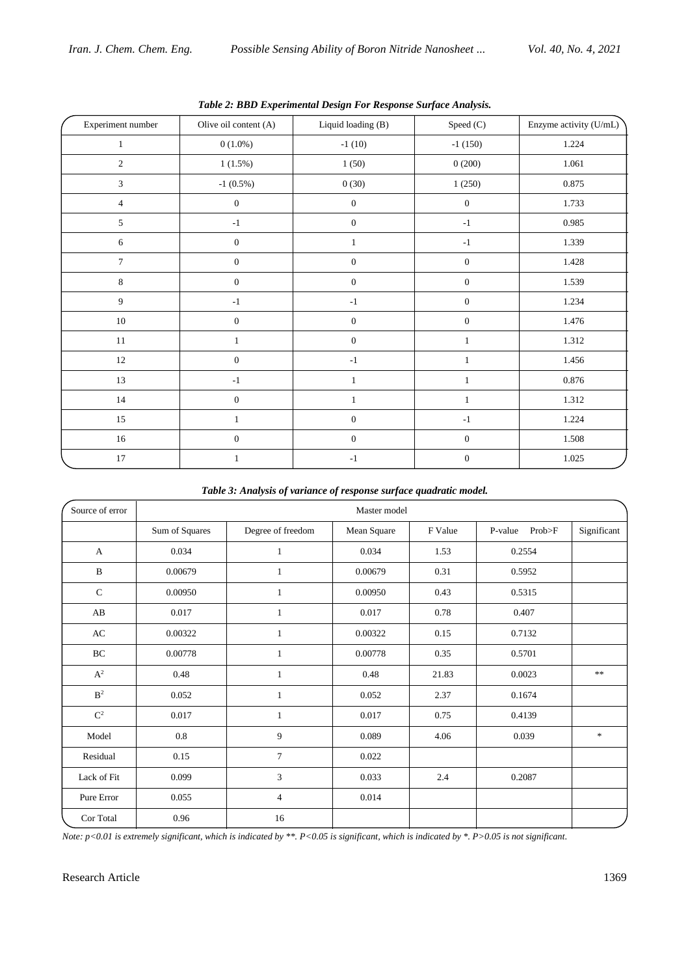| Experiment number | ு ம<br>Olive oil content (A) | $\sim$ $\sigma$<br>Liquid loading (B) | $\mathbf{r}$ . The contract of $\mathbf{r}$<br>Speed (C) | Enzyme activity (U/mL) |  |
|-------------------|------------------------------|---------------------------------------|----------------------------------------------------------|------------------------|--|
| 1                 | $0(1.0\%)$                   | $-1(10)$                              | $-1(150)$                                                | 1.224                  |  |
| $\sqrt{2}$        | 1(1.5%)                      | 1(50)                                 | 0(200)                                                   | 1.061                  |  |
| 3                 | $-1$ $(0.5\%)$               | 0(30)                                 | 1(250)                                                   | 0.875                  |  |
| $\overline{4}$    | $\boldsymbol{0}$             | $\boldsymbol{0}$                      | $\boldsymbol{0}$                                         | 1.733                  |  |
| $5\overline{)}$   | $-1$                         | $\boldsymbol{0}$                      | $-1$                                                     | 0.985                  |  |
| $\sqrt{6}$        | $\boldsymbol{0}$             | $\mathbf{1}$                          | $^{\mbox{-}1}$                                           | 1.339                  |  |
| $\tau$            | $\boldsymbol{0}$             | $\boldsymbol{0}$                      | $\mathbf{0}$                                             | 1.428                  |  |
| $\,8\,$           | $\boldsymbol{0}$             | $\boldsymbol{0}$                      | $\boldsymbol{0}$                                         | 1.539                  |  |
| 9                 | $-1$                         | $-1$                                  | $\boldsymbol{0}$                                         | 1.234                  |  |
| $10\,$            | $\boldsymbol{0}$             | $\boldsymbol{0}$                      | $\boldsymbol{0}$                                         | 1.476                  |  |
| $11\,$            | $\mathbf{1}$                 | $\boldsymbol{0}$                      | $\mathbf{1}$                                             | 1.312                  |  |
| $12\,$            | $\boldsymbol{0}$             | $-1$                                  | $\mathbf{1}$                                             | 1.456                  |  |
| 13                | $-1$                         | $\mathbf{1}$                          | $\mathbf{1}$                                             | 0.876                  |  |
| 14                | $\boldsymbol{0}$             | $\mathbf{1}$                          | $\mathbf{1}$                                             | 1.312                  |  |
| 15                | $\mathbf{1}$                 | $\boldsymbol{0}$                      | $-1$                                                     | 1.224                  |  |
| $16\,$            | $\boldsymbol{0}$             | $\boldsymbol{0}$                      | $\boldsymbol{0}$                                         | 1.508                  |  |
| $17\,$            | $\mathbf{1}$                 | $^{\mbox{-}1}$                        | $\boldsymbol{0}$                                         | 1.025                  |  |

*Table 2: BBD Experimental Design For Response Surface Analysis.*

*Table 3: Analysis of variance of response surface quadratic model.*

| Source of error | Master model   |                   |             |         |                   |             |  |  |  |
|-----------------|----------------|-------------------|-------------|---------|-------------------|-------------|--|--|--|
|                 | Sum of Squares | Degree of freedom | Mean Square | F Value | P-value<br>Prob>F | Significant |  |  |  |
| A               | 0.034          | 1                 | 0.034       | 1.53    | 0.2554            |             |  |  |  |
| $\, {\bf B}$    | 0.00679        | 1                 | 0.00679     | 0.31    | 0.5952            |             |  |  |  |
| $\mathbf C$     | 0.00950        | 1                 | 0.00950     | 0.43    | 0.5315            |             |  |  |  |
| AB              | 0.017          | $\mathbf{1}$      | 0.017       | 0.78    | 0.407             |             |  |  |  |
| AC              | 0.00322        | 1                 | 0.00322     | 0.15    | 0.7132            |             |  |  |  |
| $\rm BC$        | 0.00778        | 1                 | 0.00778     | 0.35    | 0.5701            |             |  |  |  |
| $\mathbf{A}^2$  | 0.48           | $\mathbf{1}$      | 0.48        | 21.83   | 0.0023            | $\ast\ast$  |  |  |  |
| B <sup>2</sup>  | 0.052          | $\mathbf{1}$      | 0.052       | 2.37    | 0.1674            |             |  |  |  |
| $\mathbf{C}^2$  | 0.017          | 1                 | 0.017       | 0.75    | 0.4139            |             |  |  |  |
| Model           | 0.8            | 9                 | 0.089       | 4.06    | 0.039             | $\ast$      |  |  |  |
| Residual        | 0.15           | $\tau$            | 0.022       |         |                   |             |  |  |  |
| Lack of Fit     | 0.099          | 3                 | 0.033       | 2.4     | 0.2087            |             |  |  |  |
| Pure Error      | 0.055          | $\overline{4}$    | 0.014       |         |                   |             |  |  |  |
| Cor Total       | 0.96           | 16                |             |         |                   |             |  |  |  |

*Note: p<0.01 is extremely significant, which is indicated by \*\*. P<0.05 is significant, which is indicated by \*. P>0.05 is not significant.*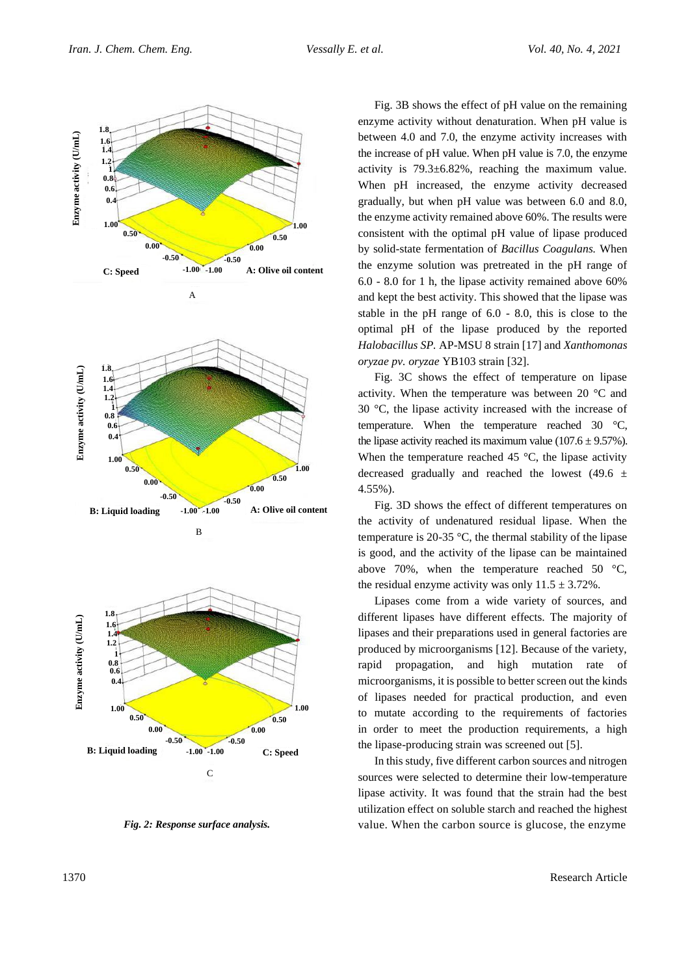

*Fig. 2: Response surface analysis.*

Fig. 3B shows the effect of pH value on the remaining enzyme activity without denaturation. When pH value is between 4.0 and 7.0, the enzyme activity increases with the increase of pH value. When pH value is 7.0, the enzyme activity is 79.3±6.82%, reaching the maximum value. When pH increased, the enzyme activity decreased gradually, but when pH value was between 6.0 and 8.0, the enzyme activity remained above 60%. The results were consistent with the optimal pH value of lipase produced by solid-state fermentation of *Bacillus Coagulans.* When the enzyme solution was pretreated in the pH range of 6.0 - 8.0 for 1 h, the lipase activity remained above 60% and kept the best activity. This showed that the lipase was stable in the pH range of 6.0 - 8.0, this is close to the optimal pH of the lipase produced by the reported *Halobacillus SP.* AP-MSU 8 strain [17] and *Xanthomonas oryzae pv. oryzae* YB103 strain [32].

Fig. 3C shows the effect of temperature on lipase activity. When the temperature was between 20 °C and 30 °C, the lipase activity increased with the increase of temperature. When the temperature reached 30 °C, the lipase activity reached its maximum value (107.6  $\pm$  9.57%). When the temperature reached 45  $\degree$ C, the lipase activity decreased gradually and reached the lowest (49.6  $\pm$ 4.55%).

Fig. 3D shows the effect of different temperatures on the activity of undenatured residual lipase. When the temperature is 20-35 °C, the thermal stability of the lipase is good, and the activity of the lipase can be maintained above 70%, when the temperature reached 50  $\degree$ C, the residual enzyme activity was only  $11.5 \pm 3.72\%$ .

Lipases come from a wide variety of sources, and different lipases have different effects. The majority of lipases and their preparations used in general factories are produced by microorganisms [12]. Because of the variety, rapid propagation, and high mutation rate of microorganisms, it is possible to better screen out the kinds of lipases needed for practical production, and even to mutate according to the requirements of factories in order to meet the production requirements, a high the lipase-producing strain was screened out [5].

In this study, five different carbon sources and nitrogen sources were selected to determine their low-temperature lipase activity. It was found that the strain had the best utilization effect on soluble starch and reached the highest value. When the carbon source is glucose, the enzyme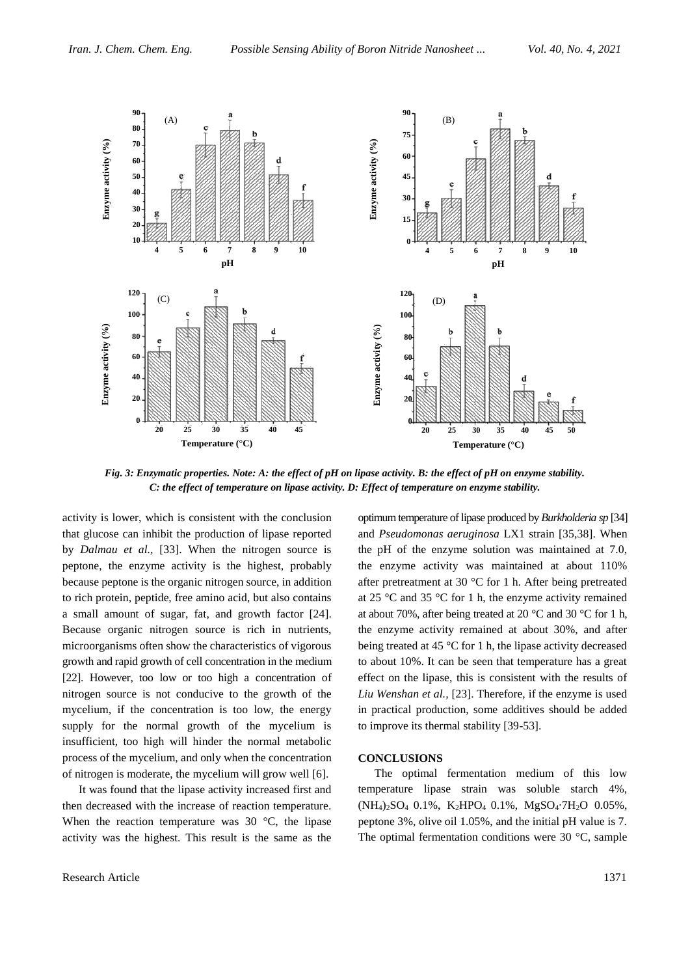

*Fig. 3: Enzymatic properties. Note: A: the effect of pH on lipase activity. B: the effect of pH on enzyme stability. C: the effect of temperature on lipase activity. D: Effect of temperature on enzyme stability.*

activity is lower, which is consistent with the conclusion that glucose can inhibit the production of lipase reported by *Dalmau et al.,* [33]. When the nitrogen source is peptone, the enzyme activity is the highest, probably because peptone is the organic nitrogen source, in addition to rich protein, peptide, free amino acid, but also contains a small amount of sugar, fat, and growth factor [24]. Because organic nitrogen source is rich in nutrients, microorganisms often show the characteristics of vigorous growth and rapid growth of cell concentration in the medium [22]. However, too low or too high a concentration of nitrogen source is not conducive to the growth of the mycelium, if the concentration is too low, the energy supply for the normal growth of the mycelium is insufficient, too high will hinder the normal metabolic process of the mycelium, and only when the concentration of nitrogen is moderate, the mycelium will grow well [6].

It was found that the lipase activity increased first and then decreased with the increase of reaction temperature. When the reaction temperature was 30 °C, the lipase activity was the highest. This result is the same as the

optimum temperature of lipase produced by *Burkholderia sp* [34] and *Pseudomonas aeruginosa* LX1 strain [35,38]. When the pH of the enzyme solution was maintained at 7.0, the enzyme activity was maintained at about 110% after pretreatment at 30 °C for 1 h. After being pretreated at 25 °C and 35 °C for 1 h, the enzyme activity remained at about 70%, after being treated at 20 °C and 30 °C for 1 h, the enzyme activity remained at about 30%, and after being treated at 45 °C for 1 h, the lipase activity decreased to about 10%. It can be seen that temperature has a great effect on the lipase, this is consistent with the results of *Liu Wenshan et al.,* [23]. Therefore, if the enzyme is used in practical production, some additives should be added to improve its thermal stability [39-53].

#### **CONCLUSIONS**

The optimal fermentation medium of this low temperature lipase strain was soluble starch 4%, (NH4)2SO4 0.1%, K2HPO4 0.1%, MgSO4·7H2O 0.05%, peptone 3%, olive oil 1.05%, and the initial pH value is 7. The optimal fermentation conditions were 30 °C, sample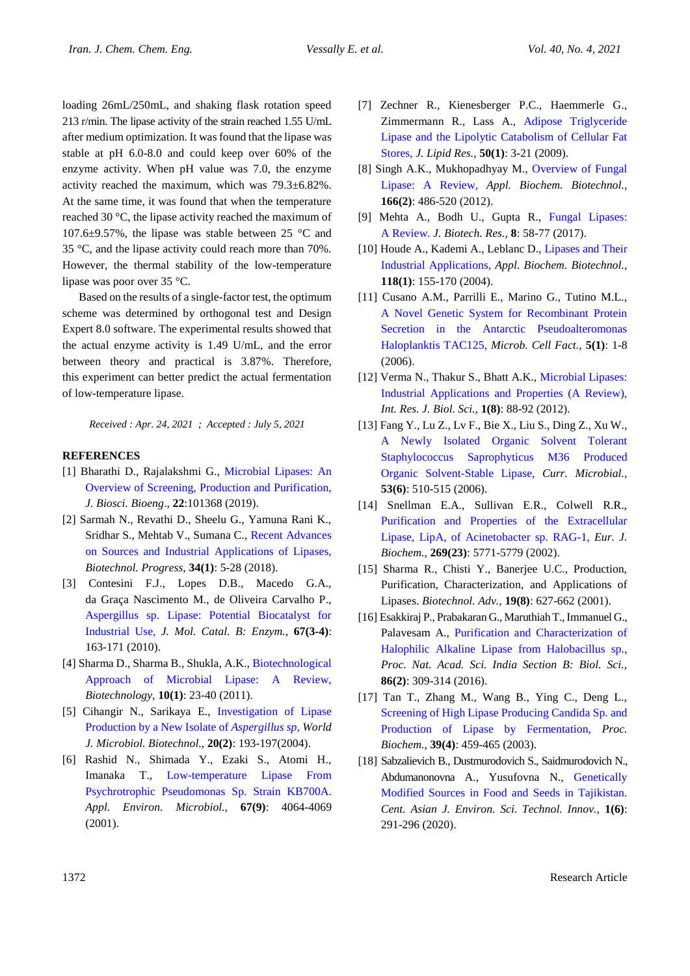loading 26mL/250mL, and shaking flask rotation speed 213 r/min. The lipase activity of the strain reached 1.55 U/mL after medium optimization. It was found that the lipase was stable at pH 6.0-8.0 and could keep over 60% of the enzyme activity. When pH value was 7.0, the enzyme activity reached the maximum, which was 79.3±6.82%. At the same time, it was found that when the temperature reached 30 °C, the lipase activity reached the maximum of 107.6±9.57%, the lipase was stable between 25 °C and 35 °C, and the lipase activity could reach more than 70%. However, the thermal stability of the low-temperature lipase was poor over 35 °C.

Based on the results of a single-factor test, the optimum scheme was determined by orthogonal test and Design Expert 8.0 software. The experimental results showed that the actual enzyme activity is 1.49 U/mL, and the error between theory and practical is 3.87%. Therefore, this experiment can better predict the actual fermentation of low-temperature lipase.

*Received : Apr. 24, 2021 ; Accepted : July 5, 2021*

#### **REFERENCES**

- [1] Bharathi D., Rajalakshmi G., [Microbial Lipases: An](https://www.sciencedirect.com/science/article/abs/pii/S1878818119308424)  [Overview of Screening, Production and Purification,](https://www.sciencedirect.com/science/article/abs/pii/S1878818119308424) *J. Biosci. Bioeng*., **22**:101368 (2019).
- [2] Sarmah N., Revathi D., Sheelu G., Yamuna Rani K., Sridhar S., Mehtab V., Sumana C., [Recent Advances](https://aiche.onlinelibrary.wiley.com/doi/abs/10.1002/btpr.2581)  [on Sources and Industrial Applications of Lipases,](https://aiche.onlinelibrary.wiley.com/doi/abs/10.1002/btpr.2581) *Biotechnol. Progress,* **34(1)**: 5-28 (2018).
- [3] Contesini F.J., Lopes D.B., Macedo G.A., da Graça Nascimento M., de Oliveira Carvalho P., [Aspergillus sp. Lipase: Potential Biocatalyst for](https://www.sciencedirect.com/science/article/abs/pii/S1381117710002067)  [Industrial Use,](https://www.sciencedirect.com/science/article/abs/pii/S1381117710002067) *J. Mol. Catal. B: Enzym.,* **67(3-4)**: 163-171 (2010).
- [4] Sharma D., Sharma B., Shukla, A.K., [Biotechnological](https://scholar.google.com/scholar?hl=en&as_sdt=0%2C5&q=Biotechnological+approach+of+microbial+lipase%3A+a+review&btnG=)  [Approach of Microbial Lipase: A Review,](https://scholar.google.com/scholar?hl=en&as_sdt=0%2C5&q=Biotechnological+approach+of+microbial+lipase%3A+a+review&btnG=) *Biotechnology,* **10(1)**: 23-40 (2011).
- [5] Cihangir N., Sarikaya E., [Investigation of Lipase](https://link.springer.com/article/10.1023/B:WIBI.0000021781.61031.3a)  [Production by a New Isolate](https://link.springer.com/article/10.1023/B:WIBI.0000021781.61031.3a) of *Aspergillus sp, World J. Microbiol. Biotechnol.,* **20(2)**: 193-197(2004).
- [6] Rashid N., Shimada Y., Ezaki S., Atomi H., Imanaka T., [Low-temperature Lipase From](https://aem.asm.org/content/67/9/4064.short)  [Psychrotrophic Pseudomonas Sp. Strain KB700A.](https://aem.asm.org/content/67/9/4064.short) *Appl. Environ. Microbiol.,* **67(9)**: 4064-4069 (2001).
- [7] Zechner R., Kienesberger P.C., Haemmerle G., Zimmermann R., Lass A., [Adipose Triglyceride](https://www.sciencedirect.com/science/article/pii/S0022227520414646)  [Lipase and the Lipolytic Catabolism of Cellular Fat](https://www.sciencedirect.com/science/article/pii/S0022227520414646)  [Stores,](https://www.sciencedirect.com/science/article/pii/S0022227520414646) *J. Lipid Res.,* **50(1)**: 3-21 (2009).
- [8] Singh A.K., Mukhopadhyay M., [Overview of Fungal](https://link.springer.com/article/10.1007/s12010-011-9444-3)  [Lipase: A Review,](https://link.springer.com/article/10.1007/s12010-011-9444-3) *Appl. Biochem. Biotechnol.,* **166(2)**: 486-520 (2012).
- [9] Mehta A., Bodh U., Gupta R., [Fungal Lipases:](https://search.proquest.com/docview/1929027799?pq-origsite=gscholar&fromopenview=true)  [A Review.](https://search.proquest.com/docview/1929027799?pq-origsite=gscholar&fromopenview=true) *J. Biotech. Res.,* **8**: 58-77 (2017).
- [10] Houde A., Kademi A., Leblanc D., Lipases and Their [Industrial Applications,](https://link.springer.com/article/10.1385/ABAB:118:1-3:155) *Appl. Biochem. Biotechnol.,* **118(1)**: 155-170 (2004).
- [11] Cusano A.M., Parrilli E., Marino G., Tutino M.L., [A Novel Genetic System for Recombinant Protein](https://microbialcellfactories.biomedcentral.com/articles/10.1186/1475-2859-5-40)  [Secretion in the Antarctic Pseudoalteromonas](https://microbialcellfactories.biomedcentral.com/articles/10.1186/1475-2859-5-40)  [Haloplanktis TAC125,](https://microbialcellfactories.biomedcentral.com/articles/10.1186/1475-2859-5-40) *Microb. Cell Fact.,* **5(1)**: 1-8 (2006).
- [12] Verma N., Thakur S., Bhatt A.K., Microbial Lipases: [Industrial Applications and Properties \(A Review\),](http://www.isca.me/IJBS/Archive/v1/i8/15.ISCA-IRJBS-2012-180.pdf) *Int. Res. J. Biol. Sci.,* **1(8)**: 88-92 (2012).
- [13] Fang Y., Lu Z., Lv F., Bie X., Liu S., Ding Z., Xu W., [A Newly Isolated Organic Solvent Tolerant](https://link.springer.com/article/10.1007/s00284-006-0260-x)  [Staphylococcus Saprophyticus M36 Produced](https://link.springer.com/article/10.1007/s00284-006-0260-x)  [Organic Solvent-Stable Lipase,](https://link.springer.com/article/10.1007/s00284-006-0260-x) *Curr. Microbial.,* **53(6)**: 510-515 (2006).
- [14] Snellman E.A., Sullivan E.R., Colwell R.R., [Purification and Properties of the Extracellular](https://febs.onlinelibrary.wiley.com/doi/full/10.1046/j.1432-1033.2002.03235.x)  [Lipase, LipA, of Acinetobacter sp. RAG-1,](https://febs.onlinelibrary.wiley.com/doi/full/10.1046/j.1432-1033.2002.03235.x) *Eur. J. Biochem.,* **269(23)**: 5771-5779 (2002).
- [15] Sharma R., Chisti Y., Banerjee U.C., Production, Purification, Characterization, and Applications of Lipases. *Biotechnol. Adv.,* **19(8)**: 627-662 (2001).
- [16] Esakkiraj P., Prabakaran G., Maruthiah T., Immanuel G., Palavesam A., [Purification and Characterization of](https://link.springer.com/article/10.1007/s40011-014-0437-1)  [Halophilic Alkaline Lipase from Halobacillus sp.,](https://link.springer.com/article/10.1007/s40011-014-0437-1) *Proc. Nat. Acad. Sci. India Section B: Biol. Sci.,* **86(2)**: 309-314 (2016).
- [17] Tan T., Zhang M., Wang B., Ying C., Deng L., [Screening of High Lipase Producing Candida Sp. and](https://www.sciencedirect.com/science/article/pii/S0032959203000918)  [Production of Lipase by Fermentation,](https://www.sciencedirect.com/science/article/pii/S0032959203000918) *Proc. Biochem.,* **39(4)**: 459-465 (2003).
- [18] Sabzalievich B., Dustmurodovich S., Saidmurodovich N., Abdumanonovna A., Yusufovna N., [Genetically](https://www.cas-press.com/article_122581.html)  [Modified Sources in Food and Seeds](https://www.cas-press.com/article_122581.html) in Tajikistan. *Cent. Asian J. Environ. Sci. Technol. Innov.,* **1(6)**: 291-296 (2020).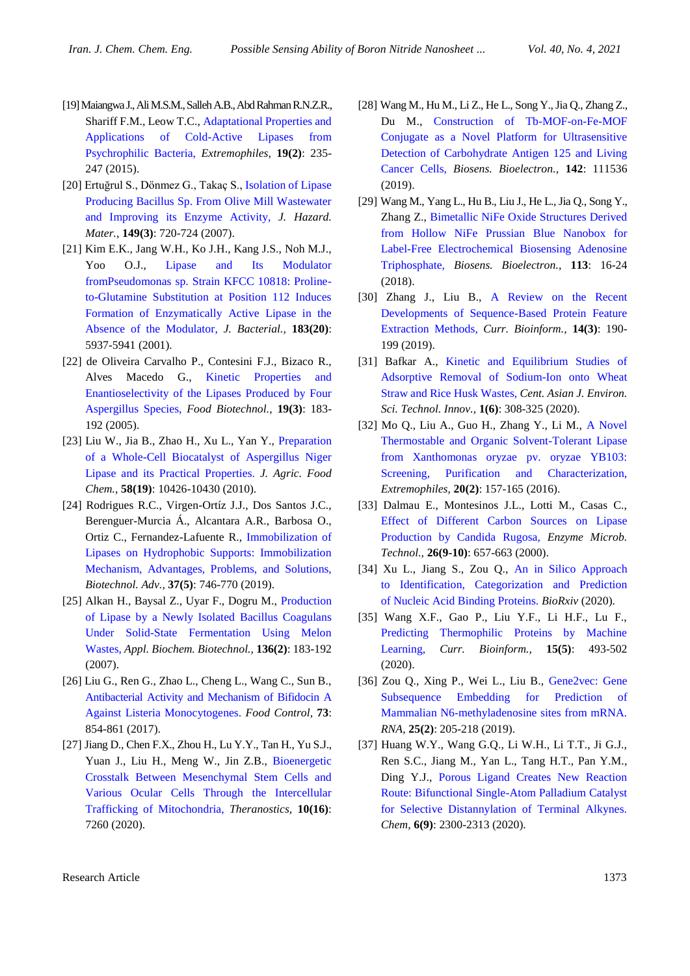- [19] Maiangwa J., Ali M.S.M., Salleh A.B., Abd Rahman R.N.Z.R., Shariff F.M., Leow T.C., [Adaptational Properties and](https://link.springer.com/content/pdf/10.1007/s00792-014-0710-5.pdf)  [Applications of Cold-Active Lipases from](https://link.springer.com/content/pdf/10.1007/s00792-014-0710-5.pdf)  [Psychrophilic Bacteria,](https://link.springer.com/content/pdf/10.1007/s00792-014-0710-5.pdf) *Extremophiles,* **19(2)**: 235- 247 (2015).
- [20] Ertuğrul S., Dönmez G., Takaç S.[, Isolation of Lipase](https://www.sciencedirect.com/science/article/abs/pii/S0304389407005183)  [Producing Bacillus Sp. From Olive Mill Wastewater](https://www.sciencedirect.com/science/article/abs/pii/S0304389407005183)  [and Improving its Enzyme Activity,](https://www.sciencedirect.com/science/article/abs/pii/S0304389407005183) *J. Hazard. Mater.,* **149(3)**: 720-724 (2007).
- [21] Kim E.K., Jang W.H., Ko J.H., Kang J.S., Noh M.J., Yoo O.J., [Lipase and Its Modulator](https://jb.asm.org/content/183/20/5937.short)  [fromPseudomonas sp. Strain KFCC 10818: Proline](https://jb.asm.org/content/183/20/5937.short)[to-Glutamine Substitution at Position 112 Induces](https://jb.asm.org/content/183/20/5937.short)  [Formation of Enzymatically Active Lipase in the](https://jb.asm.org/content/183/20/5937.short)  [Absence of the Modulator,](https://jb.asm.org/content/183/20/5937.short) *J. Bacterial.,* **183(20)**: 5937-5941 (2001).
- [22] de Oliveira Carvalho P., Contesini F.J., Bizaco R., Alves Macedo G., [Kinetic Properties and](https://www.tandfonline.com/doi/abs/10.1080/08905430500316342)  [Enantioselectivity of the Lipases Produced by Four](https://www.tandfonline.com/doi/abs/10.1080/08905430500316342)  [Aspergillus Species,](https://www.tandfonline.com/doi/abs/10.1080/08905430500316342) *Food Biotechnol.,* **19(3)**: 183- 192 (2005).
- [23] Liu W., Jia B., Zhao H., Xu L., Yan Y., [Preparation](https://pubs.acs.org/doi/abs/10.1021/jf1008555)  [of a Whole-Cell Biocatalyst of Aspergillus Niger](https://pubs.acs.org/doi/abs/10.1021/jf1008555)  [Lipase and its Practical Properties.](https://pubs.acs.org/doi/abs/10.1021/jf1008555) *J. Agric. Food Chem.,* **58(19)**: 10426-10430 (2010).
- [24] Rodrigues R.C., Virgen-Ortíz J.J., Dos Santos J.C., Berenguer-Murcia Á., Alcantara A.R., Barbosa O., Ortiz C., Fernandez-Lafuente R., [Immobilization of](https://www.sciencedirect.com/science/article/abs/pii/S073497501930062X)  [Lipases on Hydrophobic Supports: Immobilization](https://www.sciencedirect.com/science/article/abs/pii/S073497501930062X)  [Mechanism, Advantages, Problems, and Solutions,](https://www.sciencedirect.com/science/article/abs/pii/S073497501930062X) *Biotechnol. Adv.,* **37(5)**: 746-770 (2019).
- [25] Alkan H., Baysal Z., Uyar F., Dogru M., [Production](https://link.springer.com/article/10.1007/BF02686016)  of Lipase by a [Newly Isolated Bacillus Coagulans](https://link.springer.com/article/10.1007/BF02686016)  [Under Solid-State Fermentation Using Melon](https://link.springer.com/article/10.1007/BF02686016)  [Wastes,](https://link.springer.com/article/10.1007/BF02686016) *Appl. Biochem. Biotechnol.,* **136(2)**: 183-192 (2007).
- [26] Liu G., Ren G., Zhao L., Cheng L., Wang C., Sun B., [Antibacterial Activity and Mechanism of Bifidocin A](https://www.sciencedirect.com/science/article/abs/pii/S0956713516305357) [Against Listeria Monocytogenes.](https://www.sciencedirect.com/science/article/abs/pii/S0956713516305357) *Food Control,* **73**: 854-861 (2017).
- [27] Jiang D., Chen F.X., Zhou H., Lu Y.Y., Tan H., Yu S.J., Yuan J., Liu H., Meng W., Jin Z.B., [Bioenergetic](https://www.ncbi.nlm.nih.gov/pmc/articles/PMC7330858/)  [Crosstalk Between Mesenchymal Stem Cells and](https://www.ncbi.nlm.nih.gov/pmc/articles/PMC7330858/)  [Various Ocular Cells Through the Intercellular](https://www.ncbi.nlm.nih.gov/pmc/articles/PMC7330858/)  [Trafficking of Mitochondria,](https://www.ncbi.nlm.nih.gov/pmc/articles/PMC7330858/) *Theranostics,* **10(16)**: 7260 (2020).
- [28] Wang M., Hu M., Li Z., He L., Song Y., Jia Q., Zhang Z., Du M., [Construction of Tb-MOF-on-Fe-MOF](https://www.sciencedirect.com/science/article/abs/pii/S0956566319306153)  Conjugate as a [Novel Platform for Ultrasensitive](https://www.sciencedirect.com/science/article/abs/pii/S0956566319306153)  [Detection of Carbohydrate Antigen 125 and Living](https://www.sciencedirect.com/science/article/abs/pii/S0956566319306153)  [Cancer Cells,](https://www.sciencedirect.com/science/article/abs/pii/S0956566319306153) *Biosens. Bioelectron.,* **142**: 111536 (2019).
- [29] Wang M., Yang L., Hu B., Liu J., He L., Jia Q., Song Y., Zhang Z., [Bimetallic NiFe Oxide Structures Derived](https://www.sciencedirect.com/science/article/abs/pii/S0956566318303166)  from Hollow [NiFe Prussian Blue Nanobox for](https://www.sciencedirect.com/science/article/abs/pii/S0956566318303166)  [Label-Free Electrochemical Biosensing Adenosine](https://www.sciencedirect.com/science/article/abs/pii/S0956566318303166)  [Triphosphate,](https://www.sciencedirect.com/science/article/abs/pii/S0956566318303166) *Biosens. Bioelectron.,* **113**: 16-24 (2018).
- [30] Zhang J., Liu B., [A Review on the Recent](https://www.ingentaconnect.com/contentone/ben/cbio/2019/00000014/00000003/art00005)  [Developments of Sequence-Based Protein Feature](https://www.ingentaconnect.com/contentone/ben/cbio/2019/00000014/00000003/art00005)  [Extraction Methods,](https://www.ingentaconnect.com/contentone/ben/cbio/2019/00000014/00000003/art00005) *Curr. Bioinform.,* **14(3)**: 190- 199 (2019).
- [31] Bafkar A., [Kinetic and Equilibrium Studies of](https://www.cas-press.com/article_125454.html)  [Adsorptive Removal of Sodium-Ion onto Wheat](https://www.cas-press.com/article_125454.html)  [Straw and Rice Husk Wastes,](https://www.cas-press.com/article_125454.html) *Cent. Asian J. Environ. Sci. Technol. Innov.,* **1(6)**: 308-325 (2020).
- [32] Mo Q., Liu A., Guo H., Zhang Y., Li M., [A Novel](https://link.springer.com/article/10.1007/s00792-016-0809-y)  [Thermostable and Organic Solvent-Tolerant Lipase](https://link.springer.com/article/10.1007/s00792-016-0809-y)  [from Xanthomonas oryzae pv. oryzae YB103:](https://link.springer.com/article/10.1007/s00792-016-0809-y)  [Screening, Purification and Characterization,](https://link.springer.com/article/10.1007/s00792-016-0809-y) *Extremophiles,* **20(2)**: 157-165 (2016).
- [33] Dalmau E., Montesinos J.L., Lotti M., Casas C., [Effect of Different Carbon Sources on Lipase](https://www.sciencedirect.com/science/article/pii/S0141022900001563?casa_token=SJ6UF-yp7t0AAAAA:R0HMXHJiScNRgfkNigHsQO-OTLPOdp3qwSW_ccNC5nmRnGbjBMMHG22zO0GOoPvKqGiMk0xY2Cs)  [Production by Candida Rugosa,](https://www.sciencedirect.com/science/article/pii/S0141022900001563?casa_token=SJ6UF-yp7t0AAAAA:R0HMXHJiScNRgfkNigHsQO-OTLPOdp3qwSW_ccNC5nmRnGbjBMMHG22zO0GOoPvKqGiMk0xY2Cs) *Enzyme Microb. Technol.,* **26(9-10)**: 657-663 (2000).
- [34] Xu L., Jiang S., Zou Q., [An in Silico Approach](https://www.biorxiv.org/content/10.1101/2020.05.05.078741v1.abstract)  [to Identification, Categorization and Prediction](https://www.biorxiv.org/content/10.1101/2020.05.05.078741v1.abstract)  [of Nucleic Acid Binding Proteins.](https://www.biorxiv.org/content/10.1101/2020.05.05.078741v1.abstract) *BioRxiv* (2020)*.*
- [35] Wang X.F., Gao P., Liu Y.F., Li H.F., Lu F., [Predicting Thermophilic Proteins by Machine](https://www.ingentaconnect.com/content/ben/cbio/2020/00000015/00000005/art00013)  [Learning,](https://www.ingentaconnect.com/content/ben/cbio/2020/00000015/00000005/art00013) *Curr. Bioinform.,* **15(5)**: 493-502 (2020).
- [36] Zou Q., Xing P., Wei L., Liu B., [Gene2vec: Gene](https://rnajournal.cshlp.org/content/25/2/205.short)  [Subsequence Embedding for Prediction of](https://rnajournal.cshlp.org/content/25/2/205.short)  [Mammalian N6-methyladenosine sites from mRNA.](https://rnajournal.cshlp.org/content/25/2/205.short) *RNA,* **25(2)**: 205-218 (2019).
- [37] Huang W.Y., Wang G.Q., Li W.H., Li T.T., Ji G.J., Ren S.C., Jiang M., Yan L., Tang H.T., Pan Y.M., Ding Y.J., [Porous Ligand Creates New Reaction](https://www.sciencedirect.com/science/article/abs/pii/S2451929420303016)  [Route: Bifunctional Single-Atom Palladium Catalyst](https://www.sciencedirect.com/science/article/abs/pii/S2451929420303016)  [for Selective Distannylation of Terminal Alkynes.](https://www.sciencedirect.com/science/article/abs/pii/S2451929420303016) *Chem,* **6(9)**: 2300-2313 (2020).